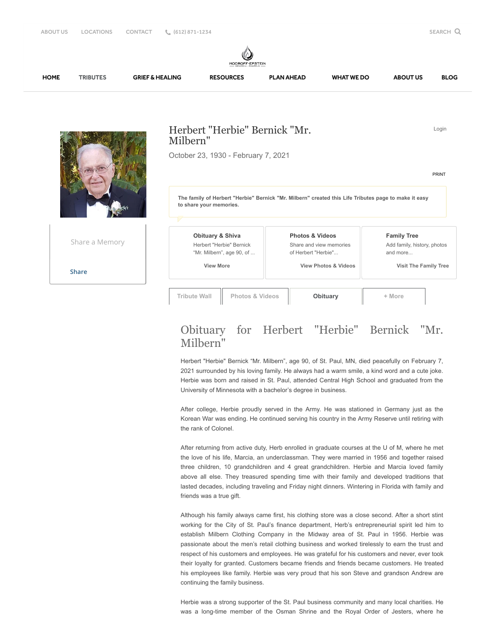Herbert "Herbie" Bernick "Mr. Milbern" October 23, 1930 - February 7, 2021 Login **Obituary & Shiva** Herbert "Herbie" Bernick "Mr. Milbern", age 90, of ...  **View More Photos & Videos** Share and view memories of Herbert "Herbie"...  **View Photos & Videos Family Tree** Add family, history, photos and more...  **Visit The Family Tree** [PRINT](https://www.hodroffepsteinmemorialchapels.com/obituaries/Herbert-Herbie-Bernick-Mr-Milbern/Print/Wall) **[Share](javascript:void(0);)** Share a Memory **The family of Herbert "Herbie" Bernick "Mr. Milbern" created this Life Tributes page to make it easy to share your memories. Tribute Wall Photos & Videos [Obituary](javascript:void(0);) + More** [HOME](https://www.hodroffepsteinmemorialchapels.com/) [TRIBUTES](https://www.hodroffepsteinmemorialchapels.com/obituaries) [GRIEF & HEALING](https://www.hodroffepsteinmemorialchapels.com/grief-and-healing/) [RESOURCES](https://www.hodroffepsteinmemorialchapels.com/resources/) [PLAN AHEAD](https://www.hodroffepsteinmemorialchapels.com/plan-ahead/) [WHAT WE DO](https://www.hodroffepsteinmemorialchapels.com/what-we-do/) [ABOUT US](https://www.hodroffepsteinmemorialchapels.com/who-we-are/) [BLOG](https://www.hodroffepsteinmemorialchapels.com/blog/)

## Obituary for Herbert "Herbie" Bernick "Mr. Milbern"

Herbert "Herbie" Bernick "Mr. Milbern", age 90, of St. Paul, MN, died peacefully on February 7, 2021 surrounded by his loving family. He always had a warm smile, a kind word and a cute joke. Herbie was born and raised in St. Paul, attended Central High School and graduated from the University of Minnesota with a bachelor's degree in business.

After college, Herbie proudly served in the Army. He was stationed in Germany just as the Korean War was ending. He continued serving his country in the Army Reserve until retiring with the rank of Colonel.

After returning from active duty, Herb enrolled in graduate courses at the U of M, where he met the love of his life, Marcia, an underclassman. They were married in 1956 and together raised three children, 10 grandchildren and 4 great grandchildren. Herbie and Marcia loved family above all else. They treasured spending time with their family and developed traditions that lasted decades, including traveling and Friday night dinners. Wintering in Florida with family and friends was a true gift.

Although his family always came first, his clothing store was a close second. After a short stint working for the City of St. Paul's finance department, Herb's entrepreneurial spirit led him to establish Milbern Clothing Company in the Midway area of St. Paul in 1956. Herbie was passionate about the men's retail clothing business and worked tirelessly to earn the trust and respect of his customers and employees. He was grateful for his customers and never, ever took their loyalty for granted. Customers became friends and friends became customers. He treated his employees like family. Herbie was very proud that his son Steve and grandson Andrew are continuing the family business.

Herbie was a strong supporter of the St. Paul business community and many local charities. He was a long-time member of the Osman Shrine and the Royal Order of Jesters, where he